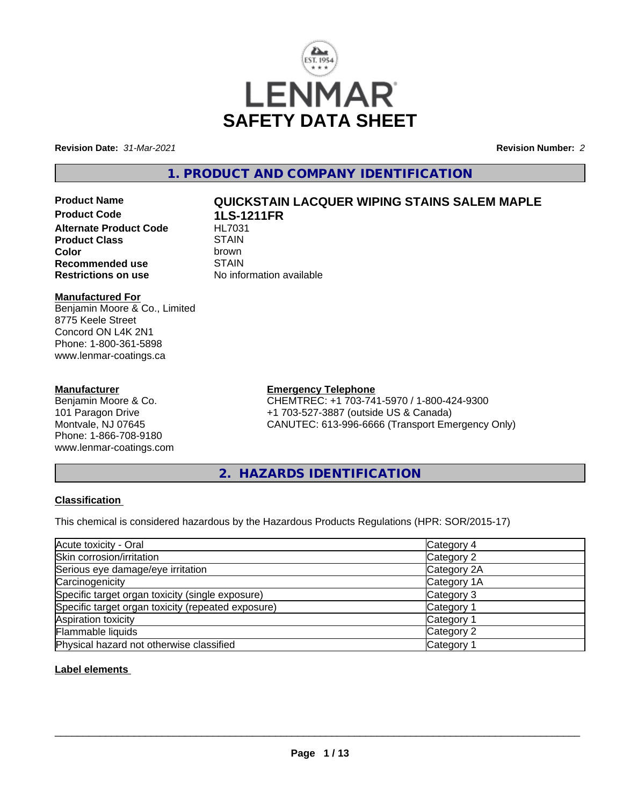

**Revision Date:** *31-Mar-2021* **Revision Number:** *2*

### **1. PRODUCT AND COMPANY IDENTIFICATION**

**Product Code 1LS-1211FR**

# **Product Name QUICKSTAIN LACQUER WIPING STAINS SALEM MAPLE**

**Alternate Product Code HL703**<br> **Product Class** STAIN **Product Class**<br> **Color**<br>
Color **Color** brown **Recommended use** STAIN<br>**Restrictions on use** No info **No information available** 

#### **Manufactured For**

Benjamin Moore & Co., Limited 8775 Keele Street Concord ON L4K 2N1 Phone: 1-800-361-5898 www.lenmar-coatings.ca

#### **Manufacturer**

Benjamin Moore & Co. 101 Paragon Drive Montvale, NJ 07645 Phone: 1-866-708-9180 www.lenmar-coatings.com

### **Emergency Telephone**

CHEMTREC: +1 703-741-5970 / 1-800-424-9300 +1 703-527-3887 (outside US & Canada) CANUTEC: 613-996-6666 (Transport Emergency Only)

**2. HAZARDS IDENTIFICATION**

#### **Classification**

This chemical is considered hazardous by the Hazardous Products Regulations (HPR: SOR/2015-17)

| Acute toxicity - Oral                              | Category 4  |
|----------------------------------------------------|-------------|
| Skin corrosion/irritation                          | Category 2  |
| Serious eye damage/eye irritation                  | Category 2A |
| Carcinogenicity                                    | Category 1A |
| Specific target organ toxicity (single exposure)   | Category 3  |
| Specific target organ toxicity (repeated exposure) | Category 1  |
| Aspiration toxicity                                | Category 1  |
| Flammable liquids                                  | Category 2  |
| Physical hazard not otherwise classified           | Category    |

#### **Label elements**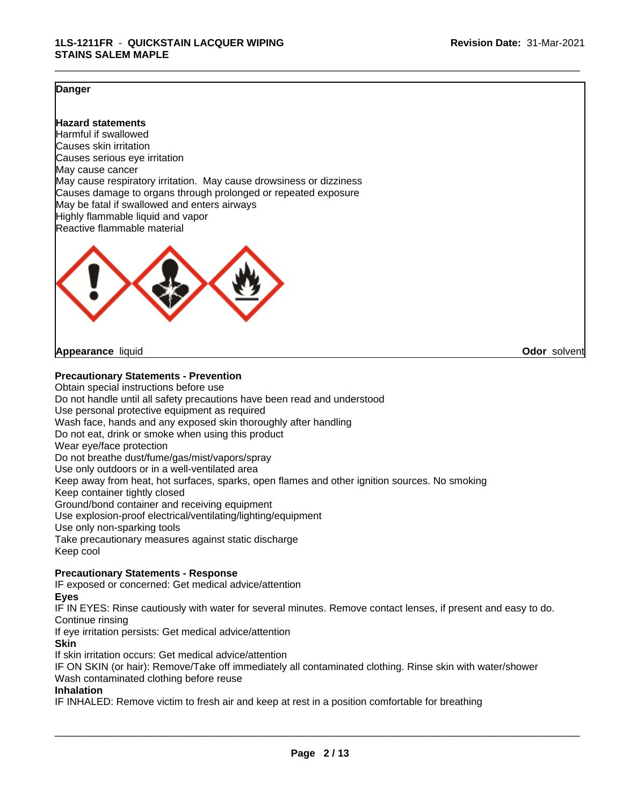\_\_\_\_\_\_\_\_\_\_\_\_\_\_\_\_\_\_\_\_\_\_\_\_\_\_\_\_\_\_\_\_\_\_\_\_\_\_\_\_\_\_\_\_\_\_\_\_\_\_\_\_\_\_\_\_\_\_\_\_\_\_\_\_\_\_\_\_\_\_\_\_\_\_\_\_\_\_\_\_\_\_\_\_\_\_\_\_\_\_\_\_\_

#### **Danger**

#### **Hazard statements**

Harmful if swallowed Causes skin irritation Causes serious eye irritation May cause cancer May cause respiratory irritation. May cause drowsiness or dizziness Causes damage to organs through prolonged or repeated exposure May be fatal if swallowed and enters airways Highly flammable liquid and vapor Reactive flammable material



#### **Appearance** liquid **Odor** solvent

#### **Precautionary Statements - Prevention**

Obtain special instructions before use Do not handle until all safety precautions have been read and understood Use personal protective equipment as required Wash face, hands and any exposed skin thoroughly after handling Do not eat, drink or smoke when using this product Wear eye/face protection Do not breathe dust/fume/gas/mist/vapors/spray Use only outdoors or in a well-ventilated area Keep away from heat, hot surfaces, sparks, open flames and other ignition sources. No smoking Keep container tightly closed Ground/bond container and receiving equipment Use explosion-proof electrical/ventilating/lighting/equipment Use only non-sparking tools Take precautionary measures against static discharge Keep cool

#### **Precautionary Statements - Response**

IF exposed or concerned: Get medical advice/attention

**Eyes**

IF IN EYES: Rinse cautiously with water for several minutes. Remove contact lenses, if present and easy to do. Continue rinsing

If eye irritation persists: Get medical advice/attention

**Skin**

If skin irritation occurs: Get medical advice/attention

IF ON SKIN (or hair): Remove/Take off immediately all contaminated clothing. Rinse skin with water/shower Wash contaminated clothing before reuse

#### **Inhalation**

IF INHALED: Remove victim to fresh air and keep at rest in a position comfortable for breathing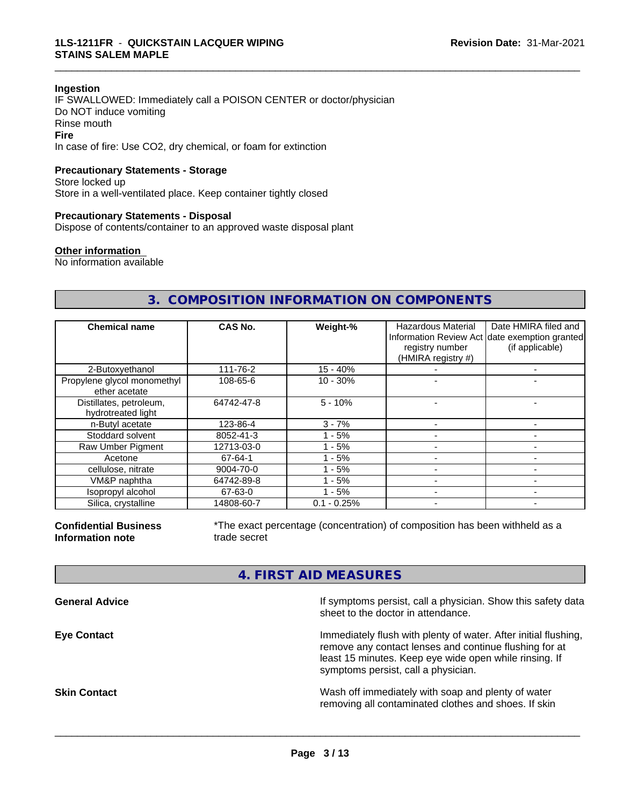#### **Ingestion**

IF SWALLOWED: Immediately call a POISON CENTER or doctor/physician Do NOT induce vomiting Rinse mouth **Fire** In case of fire: Use CO2, dry chemical, or foam for extinction

#### **Precautionary Statements - Storage**

Store locked up Store in a well-ventilated place. Keep container tightly closed

#### **Precautionary Statements - Disposal**

Dispose of contents/container to an approved waste disposal plant

#### **Other information**

No information available

### **3. COMPOSITION INFORMATION ON COMPONENTS**

\_\_\_\_\_\_\_\_\_\_\_\_\_\_\_\_\_\_\_\_\_\_\_\_\_\_\_\_\_\_\_\_\_\_\_\_\_\_\_\_\_\_\_\_\_\_\_\_\_\_\_\_\_\_\_\_\_\_\_\_\_\_\_\_\_\_\_\_\_\_\_\_\_\_\_\_\_\_\_\_\_\_\_\_\_\_\_\_\_\_\_\_\_

| <b>Chemical name</b>                          | <b>CAS No.</b> | Weight-%      | Hazardous Material<br>registry number<br>(HMIRA registry #) | Date HMIRA filed and<br>Information Review Act date exemption granted<br>(if applicable) |
|-----------------------------------------------|----------------|---------------|-------------------------------------------------------------|------------------------------------------------------------------------------------------|
| 2-Butoxyethanol                               | 111-76-2       | $15 - 40%$    |                                                             | -                                                                                        |
| Propylene glycol monomethyl<br>ether acetate  | 108-65-6       | $10 - 30%$    |                                                             |                                                                                          |
| Distillates, petroleum,<br>hydrotreated light | 64742-47-8     | $5 - 10%$     |                                                             |                                                                                          |
| n-Butyl acetate                               | 123-86-4       | $3 - 7%$      |                                                             |                                                                                          |
| Stoddard solvent                              | 8052-41-3      | $1 - 5%$      |                                                             |                                                                                          |
| Raw Umber Pigment                             | 12713-03-0     | - 5%          |                                                             | -                                                                                        |
| Acetone                                       | 67-64-1        | $-5%$         |                                                             | -                                                                                        |
| cellulose, nitrate                            | 9004-70-0      | $1 - 5%$      |                                                             |                                                                                          |
| VM&P naphtha                                  | 64742-89-8     | - 5%          |                                                             |                                                                                          |
| Isopropyl alcohol                             | 67-63-0        | - 5%          |                                                             |                                                                                          |
| Silica, crystalline                           | 14808-60-7     | $0.1 - 0.25%$ |                                                             |                                                                                          |

**Confidential Business Information note**

\*The exact percentage (concentration) of composition has been withheld as a trade secret

### **4. FIRST AID MEASURES**

**General Advice If symptoms persist, call a physician. Show this safety data If** symptoms persist, call a physician. Show this safety data sheet to the doctor in attendance. **Eye Contact Immediately flush with plenty of water. After initial flushing,** remove any contact lenses and continue flushing for at least 15 minutes. Keep eye wide open while rinsing. If symptoms persist, call a physician. **Skin Contact** Superintenside Wash off immediately with soap and plenty of water removing all contaminated clothes and shoes. If skin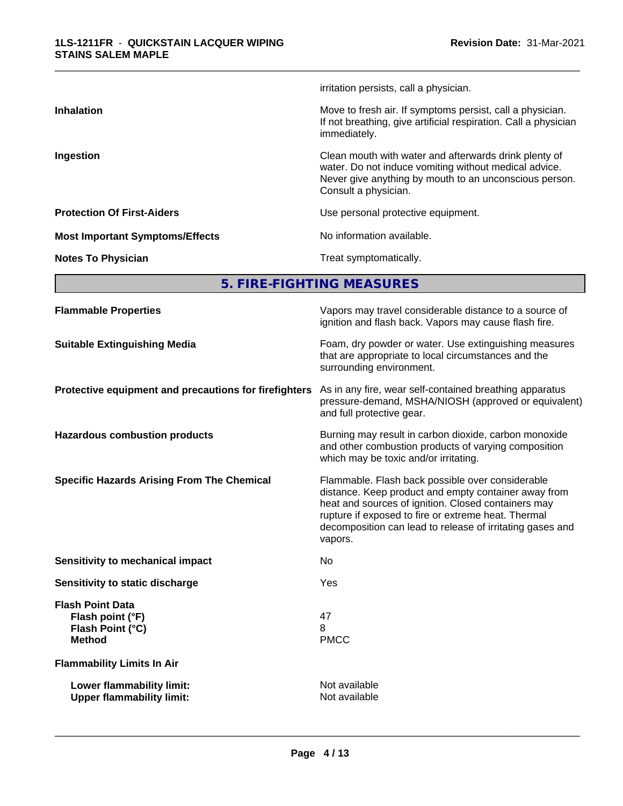#### **1LS-1211FR** - **QUICKSTAIN LACQUER WIPING STAINS SALEM MAPLE**

|                                        | irritation persists, call a physician.                                                                                                                                                           |
|----------------------------------------|--------------------------------------------------------------------------------------------------------------------------------------------------------------------------------------------------|
| <b>Inhalation</b>                      | Move to fresh air. If symptoms persist, call a physician.<br>If not breathing, give artificial respiration. Call a physician<br>immediately.                                                     |
| Ingestion                              | Clean mouth with water and afterwards drink plenty of<br>water. Do not induce vomiting without medical advice.<br>Never give anything by mouth to an unconscious person.<br>Consult a physician. |
| <b>Protection Of First-Aiders</b>      | Use personal protective equipment.                                                                                                                                                               |
| <b>Most Important Symptoms/Effects</b> | No information available.                                                                                                                                                                        |
| <b>Notes To Physician</b>              | Treat symptomatically.                                                                                                                                                                           |
|                                        |                                                                                                                                                                                                  |

\_\_\_\_\_\_\_\_\_\_\_\_\_\_\_\_\_\_\_\_\_\_\_\_\_\_\_\_\_\_\_\_\_\_\_\_\_\_\_\_\_\_\_\_\_\_\_\_\_\_\_\_\_\_\_\_\_\_\_\_\_\_\_\_\_\_\_\_\_\_\_\_\_\_\_\_\_\_\_\_\_\_\_\_\_\_\_\_\_\_\_\_\_

**5. FIRE-FIGHTING MEASURES**

| <b>Flammable Properties</b>                                                      | Vapors may travel considerable distance to a source of<br>ignition and flash back. Vapors may cause flash fire.                                                                                                                                                                                |
|----------------------------------------------------------------------------------|------------------------------------------------------------------------------------------------------------------------------------------------------------------------------------------------------------------------------------------------------------------------------------------------|
| <b>Suitable Extinguishing Media</b>                                              | Foam, dry powder or water. Use extinguishing measures<br>that are appropriate to local circumstances and the<br>surrounding environment.                                                                                                                                                       |
| Protective equipment and precautions for firefighters                            | As in any fire, wear self-contained breathing apparatus<br>pressure-demand, MSHA/NIOSH (approved or equivalent)<br>and full protective gear.                                                                                                                                                   |
| <b>Hazardous combustion products</b>                                             | Burning may result in carbon dioxide, carbon monoxide<br>and other combustion products of varying composition<br>which may be toxic and/or irritating.                                                                                                                                         |
| <b>Specific Hazards Arising From The Chemical</b>                                | Flammable. Flash back possible over considerable<br>distance. Keep product and empty container away from<br>heat and sources of ignition. Closed containers may<br>rupture if exposed to fire or extreme heat. Thermal<br>decomposition can lead to release of irritating gases and<br>vapors. |
| Sensitivity to mechanical impact                                                 | No                                                                                                                                                                                                                                                                                             |
| Sensitivity to static discharge                                                  | Yes                                                                                                                                                                                                                                                                                            |
| <b>Flash Point Data</b><br>Flash point (°F)<br>Flash Point (°C)<br><b>Method</b> | 47<br>8<br><b>PMCC</b>                                                                                                                                                                                                                                                                         |
| <b>Flammability Limits In Air</b>                                                |                                                                                                                                                                                                                                                                                                |
| Lower flammability limit:<br><b>Upper flammability limit:</b>                    | Not available<br>Not available                                                                                                                                                                                                                                                                 |
|                                                                                  |                                                                                                                                                                                                                                                                                                |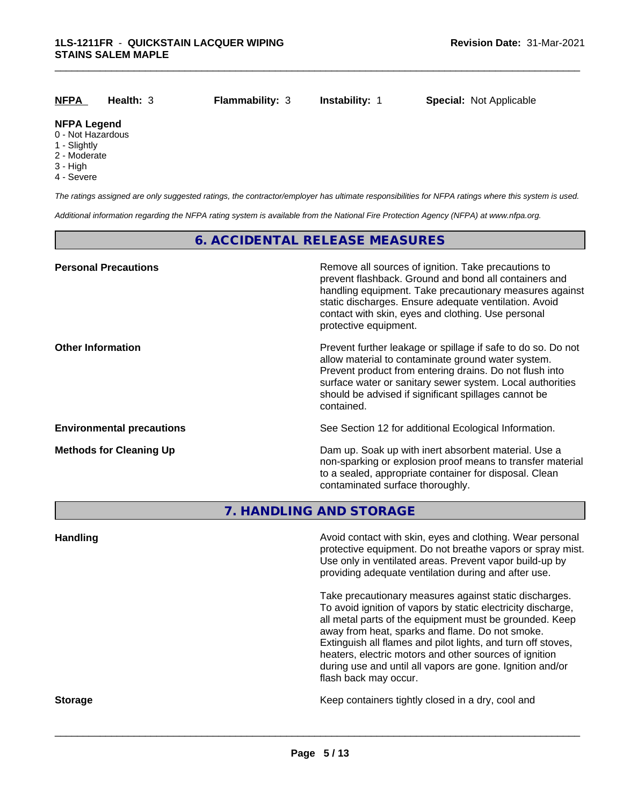| <u>NFPA</u>                             | Health: 3 | <b>Flammability: 3</b> | <b>Instability: 1</b> | <b>Special: Not Applicable</b> |
|-----------------------------------------|-----------|------------------------|-----------------------|--------------------------------|
| <b>NFPA Legend</b><br>0 - Not Hazardous |           |                        |                       |                                |

- 1 Slightly
- 2 Moderate
- 3 High
- 
- 4 Severe

*The ratings assigned are only suggested ratings, the contractor/employer has ultimate responsibilities for NFPA ratings where this system is used.*

*Additional information regarding the NFPA rating system is available from the National Fire Protection Agency (NFPA) at www.nfpa.org.*

#### **6. ACCIDENTAL RELEASE MEASURES**

| <b>Personal Precautions</b>      | Remove all sources of ignition. Take precautions to<br>prevent flashback. Ground and bond all containers and<br>handling equipment. Take precautionary measures against<br>static discharges. Ensure adequate ventilation. Avoid<br>contact with skin, eyes and clothing. Use personal<br>protective equipment.  |
|----------------------------------|------------------------------------------------------------------------------------------------------------------------------------------------------------------------------------------------------------------------------------------------------------------------------------------------------------------|
| <b>Other Information</b>         | Prevent further leakage or spillage if safe to do so. Do not<br>allow material to contaminate ground water system.<br>Prevent product from entering drains. Do not flush into<br>surface water or sanitary sewer system. Local authorities<br>should be advised if significant spillages cannot be<br>contained. |
| <b>Environmental precautions</b> | See Section 12 for additional Ecological Information.                                                                                                                                                                                                                                                            |
| <b>Methods for Cleaning Up</b>   | Dam up. Soak up with inert absorbent material. Use a<br>non-sparking or explosion proof means to transfer material<br>to a sealed, appropriate container for disposal. Clean<br>contaminated surface thoroughly.                                                                                                 |

**7. HANDLING AND STORAGE**

**Handling Handling Avoid contact with skin, eyes and clothing. Wear personal and <b>Handling Avoid contact with skin, eyes and clothing. Wear personal** protective equipment. Do not breathe vapors or spray mist. Use only in ventilated areas. Prevent vapor build-up by providing adequate ventilation during and after use. Take precautionary measures against static discharges. To avoid ignition of vapors by static electricity discharge, all metal parts of the equipment must be grounded. Keep away from heat, sparks and flame. Do not smoke. Extinguish all flames and pilot lights, and turn off stoves, heaters, electric motors and other sources of ignition during use and until all vapors are gone. Ignition and/or flash back may occur. **Storage Keep containers tightly closed in a dry, cool and get a dry and structure in a dry and structure in a dry and structure in a dry and structure in a dry and structure in a dry and structure in a dry and structure**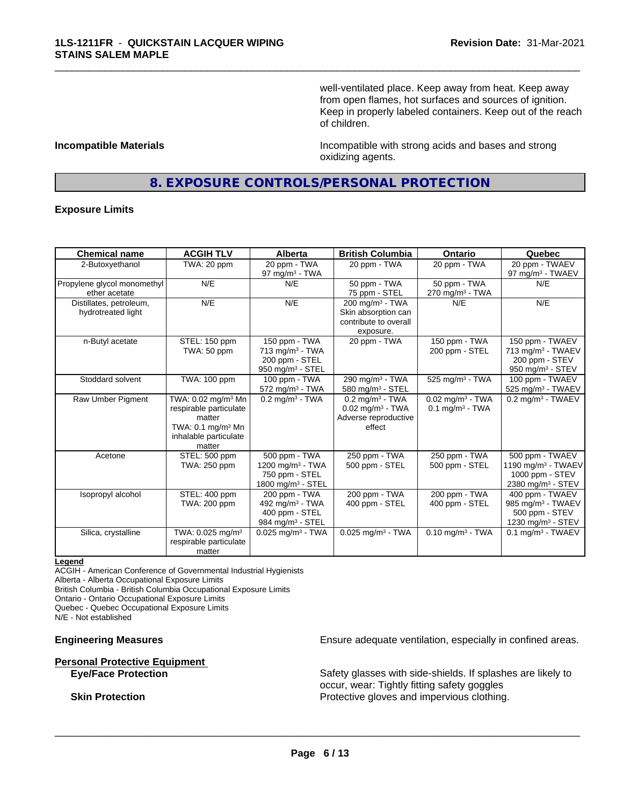well-ventilated place. Keep away from heat. Keep away from open flames, hot surfaces and sources of ignition. Keep in properly labeled containers. Keep out of the reach of children.

**Incompatible Materials Incompatible with strong acids and bases and strong** oxidizing agents.

### **8. EXPOSURE CONTROLS/PERSONAL PROTECTION**

\_\_\_\_\_\_\_\_\_\_\_\_\_\_\_\_\_\_\_\_\_\_\_\_\_\_\_\_\_\_\_\_\_\_\_\_\_\_\_\_\_\_\_\_\_\_\_\_\_\_\_\_\_\_\_\_\_\_\_\_\_\_\_\_\_\_\_\_\_\_\_\_\_\_\_\_\_\_\_\_\_\_\_\_\_\_\_\_\_\_\_\_\_

#### **Exposure Limits**

| <b>Chemical name</b>                          | <b>ACGIH TLV</b>                                                                                                                      | <b>Alberta</b>                                                                                   | <b>British Columbia</b>                                                                           | <b>Ontario</b>                                                  | Quebec                                                                                                |
|-----------------------------------------------|---------------------------------------------------------------------------------------------------------------------------------------|--------------------------------------------------------------------------------------------------|---------------------------------------------------------------------------------------------------|-----------------------------------------------------------------|-------------------------------------------------------------------------------------------------------|
| 2-Butoxyethanol                               | TWA: 20 ppm                                                                                                                           | 20 ppm - TWA<br>97 mg/m $3$ - TWA                                                                | 20 ppm - TWA                                                                                      | 20 ppm - TWA                                                    | 20 ppm - TWAEV<br>97 mg/m <sup>3</sup> - TWAEV                                                        |
| Propylene glycol monomethyl<br>ether acetate  | N/E                                                                                                                                   | N/E                                                                                              | 50 ppm - TWA<br>75 ppm - STEL                                                                     | 50 ppm - TWA<br>$270$ mg/m <sup>3</sup> - TWA                   | N/E                                                                                                   |
| Distillates, petroleum,<br>hydrotreated light | N/E                                                                                                                                   | N/E                                                                                              | 200 mg/m <sup>3</sup> - TWA<br>Skin absorption can<br>contribute to overall<br>exposure.          | N/E                                                             | N/E                                                                                                   |
| n-Butyl acetate                               | STEL: 150 ppm<br>TWA: 50 ppm                                                                                                          | 150 ppm - TWA<br>$713$ mg/m <sup>3</sup> - TWA<br>200 ppm - STEL<br>950 mg/m <sup>3</sup> - STEL | 20 ppm - TWA                                                                                      | 150 ppm - TWA<br>200 ppm - STEL                                 | 150 ppm - TWAEV<br>713 mg/m <sup>3</sup> - TWAEV<br>200 ppm - STEV<br>950 mg/m <sup>3</sup> - STEV    |
| Stoddard solvent                              | TWA: 100 ppm                                                                                                                          | 100 ppm - TWA<br>$572$ mg/m <sup>3</sup> - TWA                                                   | 290 mg/m <sup>3</sup> - TWA<br>580 mg/m $3 -$ STEL                                                | 525 mg/m <sup>3</sup> - TWA                                     | 100 ppm - TWAEV<br>525 mg/m <sup>3</sup> - TWAEV                                                      |
| Raw Umber Pigment                             | TWA: 0.02 mg/m <sup>3</sup> Mn<br>respirable particulate<br>matter<br>TWA: $0.1 \text{ mg/m}^3$ Mn<br>inhalable particulate<br>matter | $0.2$ mg/m <sup>3</sup> - TWA                                                                    | $0.2$ mg/m <sup>3</sup> - TWA<br>$0.02$ mg/m <sup>3</sup> - TWA<br>Adverse reproductive<br>effect | $0.02$ mg/m <sup>3</sup> - TWA<br>$0.1$ mg/m <sup>3</sup> - TWA | $0.2$ mg/m <sup>3</sup> - TWAEV                                                                       |
| Acetone                                       | STEL: 500 ppm<br>TWA: 250 ppm                                                                                                         | 500 ppm - TWA<br>1200 mg/m <sup>3</sup> - TWA<br>750 ppm - STEL<br>1800 mg/m $3 -$ STEL          | 250 ppm - TWA<br>500 ppm - STEL                                                                   | 250 ppm - TWA<br>500 ppm - STEL                                 | 500 ppm - TWAEV<br>1190 mg/m <sup>3</sup> - TWAEV<br>1000 ppm - STEV<br>2380 mg/m <sup>3</sup> - STEV |
| Isopropyl alcohol                             | STEL: 400 ppm<br>TWA: 200 ppm                                                                                                         | 200 ppm - TWA<br>492 mg/m <sup>3</sup> - TWA<br>400 ppm - STEL<br>984 mg/m <sup>3</sup> - STEL   | 200 ppm - TWA<br>400 ppm - STEL                                                                   | 200 ppm - TWA<br>400 ppm - STEL                                 | 400 ppm - TWAEV<br>985 mg/m <sup>3</sup> - TWAEV<br>500 ppm - STEV<br>1230 mg/m <sup>3</sup> - STEV   |
| Silica, crystalline                           | TWA: 0.025 mg/m <sup>3</sup><br>respirable particulate<br>matter                                                                      | $0.025$ mg/m <sup>3</sup> - TWA                                                                  | $0.025$ mg/m <sup>3</sup> - TWA                                                                   | $0.10$ mg/m <sup>3</sup> - TWA                                  | $0.1$ mg/m <sup>3</sup> - TWAEV                                                                       |

#### **Legend**

ACGIH - American Conference of Governmental Industrial Hygienists

Alberta - Alberta Occupational Exposure Limits

British Columbia - British Columbia Occupational Exposure Limits

Ontario - Ontario Occupational Exposure Limits

Quebec - Quebec Occupational Exposure Limits

N/E - Not established

## **Personal Protective Equipment**<br> **Eye/Face Protection**

**Engineering Measures Ensure adequate ventilation, especially in confined areas.** 

Safety glasses with side-shields. If splashes are likely to occur, wear: Tightly fitting safety goggles **Skin Protection Protection Protective gloves and impervious clothing.**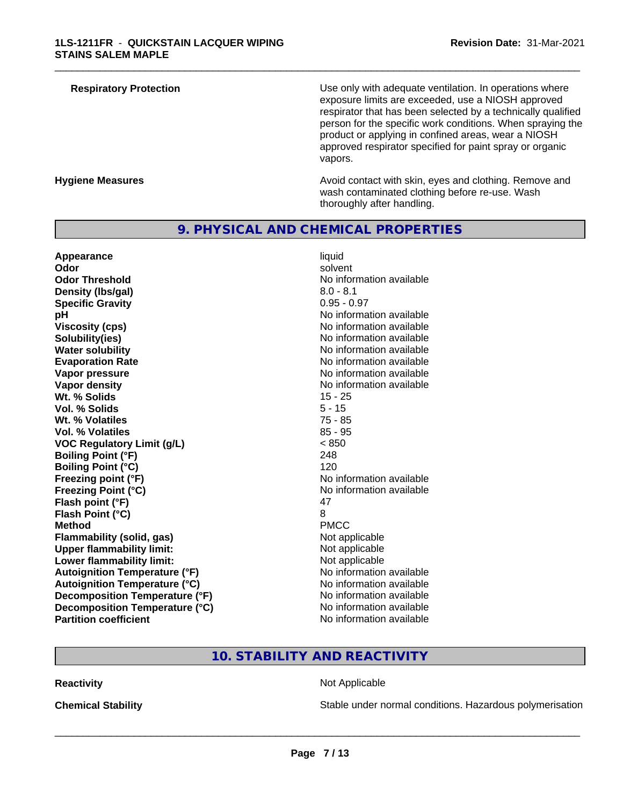| atory Protection |  |  |  |
|------------------|--|--|--|
|                  |  |  |  |
|                  |  |  |  |

**Respiratory Protection Number 2** Use only with adequate ventilation. In operations where exposure limits are exceeded, use a NIOSH approved respirator that has been selected by a technically qualified person for the specific work conditions. When spraying the product or applying in confined areas, wear a NIOSH approved respirator specified for paint spray or organic vapors.

**Hygiene Measures Avoid contact with skin, eyes and clothing. Remove and Avoid contact with skin, eyes and clothing. Remove and Avoid contact with skin, eyes and clothing. Remove and** wash contaminated clothing before re-use. Wash thoroughly after handling.

#### **9. PHYSICAL AND CHEMICAL PROPERTIES**

**Appearance** liquid and **a liquid liquid liquid** by the liquid liquid liquid solvent **Odor** solvent **Odor Threshold** No information available **Density (lbs/gal)** 8.0 - 8.1 **Specific Gravity** 0.95 - 0.97 **pH pH**  $\blacksquare$ **Viscosity (cps)** No information available **Solubility(ies)** No information available in the solution of the solution of the solution available in the solution of the solution of the solution of the solution available in the solution of the solution of the solution **Water solubility** No information available **Evaporation Rate Evaporation Rate No information available Vapor pressure** No information available in the North American Monte available in the North American available **Vapor density No information available No information available Wt. % Solids** 15 - 25 **Vol. % Solids** 5 - 15 **Wt. % Volatiles** 75 - 85 **Vol. % Volatiles** 85 - 95 **VOC Regulatory Limit (g/L)** < 850 **Boiling Point (°F)** 248 **Boiling Point (°C)** 120 **Freezing point (°F)** No information available **Freezing Point (°C)** No information available **Flash point (°F)** 47 **Flash Point (°C)** 8 **Method** PMCC **Flammability (solid, gas)**<br> **Upper flammability limit:**<br>
Upper flammability limit:<br>  $\begin{array}{ccc}\n\bullet & \bullet & \bullet \\
\bullet & \bullet & \bullet\n\end{array}$  Not applicable **Upper flammability limit:**<br> **Lower flammability limit:**<br>
Not applicable<br>
Not applicable **Lower flammability limit: Autoignition Temperature (°F)** No information available **Autoignition Temperature (°C)**<br> **Decomposition Temperature (°F)** No information available **Decomposition Temperature (°F) Decomposition Temperature (°C)** No information available<br> **Partition coefficient Partition available** 

**No information available** 

\_\_\_\_\_\_\_\_\_\_\_\_\_\_\_\_\_\_\_\_\_\_\_\_\_\_\_\_\_\_\_\_\_\_\_\_\_\_\_\_\_\_\_\_\_\_\_\_\_\_\_\_\_\_\_\_\_\_\_\_\_\_\_\_\_\_\_\_\_\_\_\_\_\_\_\_\_\_\_\_\_\_\_\_\_\_\_\_\_\_\_\_\_

### **10. STABILITY AND REACTIVITY**

#### **Reactivity Not Applicable Not Applicable**

 $\overline{\phantom{a}}$  ,  $\overline{\phantom{a}}$  ,  $\overline{\phantom{a}}$  ,  $\overline{\phantom{a}}$  ,  $\overline{\phantom{a}}$  ,  $\overline{\phantom{a}}$  ,  $\overline{\phantom{a}}$  ,  $\overline{\phantom{a}}$  ,  $\overline{\phantom{a}}$  ,  $\overline{\phantom{a}}$  ,  $\overline{\phantom{a}}$  ,  $\overline{\phantom{a}}$  ,  $\overline{\phantom{a}}$  ,  $\overline{\phantom{a}}$  ,  $\overline{\phantom{a}}$  ,  $\overline{\phantom{a}}$ 

**Chemical Stability Stability** Stable under normal conditions. Hazardous polymerisation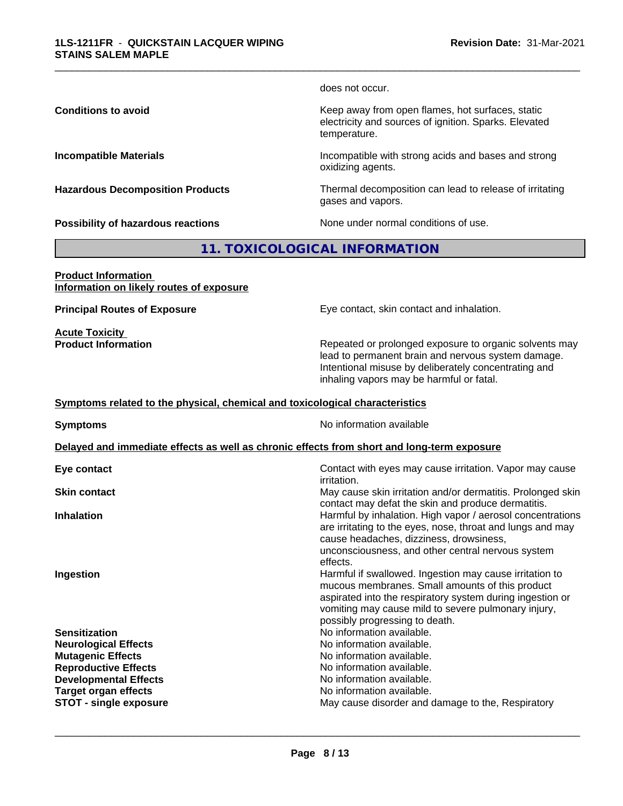does not occur.

\_\_\_\_\_\_\_\_\_\_\_\_\_\_\_\_\_\_\_\_\_\_\_\_\_\_\_\_\_\_\_\_\_\_\_\_\_\_\_\_\_\_\_\_\_\_\_\_\_\_\_\_\_\_\_\_\_\_\_\_\_\_\_\_\_\_\_\_\_\_\_\_\_\_\_\_\_\_\_\_\_\_\_\_\_\_\_\_\_\_\_\_\_

**Conditions to avoid Keep away from open flames, hot surfaces, static conditions to avoid** electricity and sources of ignition. Sparks. Elevated temperature.

**Incompatible Materials Incompatible with strong acids and bases and strong** oxidizing agents.

**Hazardous Decomposition Products** Thermal decomposition can lead to release of irritating gases and vapors.

**Possibility of hazardous reactions** None under normal conditions of use.

#### **11. TOXICOLOGICAL INFORMATION**

**Product Information Information on likely routes of exposure**

**Acute Toxicity** 

**Principal Routes of Exposure Exposure** Eye contact, skin contact and inhalation.

**Product Information Repeated or prolonged exposure to organic solvents may** lead to permanent brain and nervous system damage. Intentional misuse by deliberately concentrating and inhaling vapors may be harmful or fatal.

#### **Symptoms related to the physical,chemical and toxicological characteristics**

**Symptoms** No information available **Delayed and immediate effects as well as chronic effects from short and long-term exposure Eye contact** Contact with eyes may cause irritation. Vapor may cause irritation. **Skin contact** May cause skin irritation and/or dermatitis. Prolonged skin contact may defat the skin and produce dermatitis. **Inhalation Inhalation Harmful by inhalation. High vapor / aerosol concentrations** are irritating to the eyes, nose, throat and lungs and may cause headaches, dizziness, drowsiness, unconsciousness, and other central nervous system effects. **Ingestion Ingestion Example 2 Index 1 Harmful if swallowed. Ingestion may cause irritation to** mucous membranes. Small amounts of this product aspirated into the respiratory system during ingestion or vomiting may cause mild to severe pulmonary injury, possibly progressing to death. **Sensitization** No information available. **Neurological Effects** Noinformation available. **Mutagenic Effects** No information available. **Reproductive Effects**<br> **Reproductive Effects**<br> **Developmental Effects**<br> **No information available. Developmental Effects Target organ effects** No information available. **STOT -** single exposure **May cause disorder and damage to the, Respiratory May cause disorder and damage to the, Respiratory**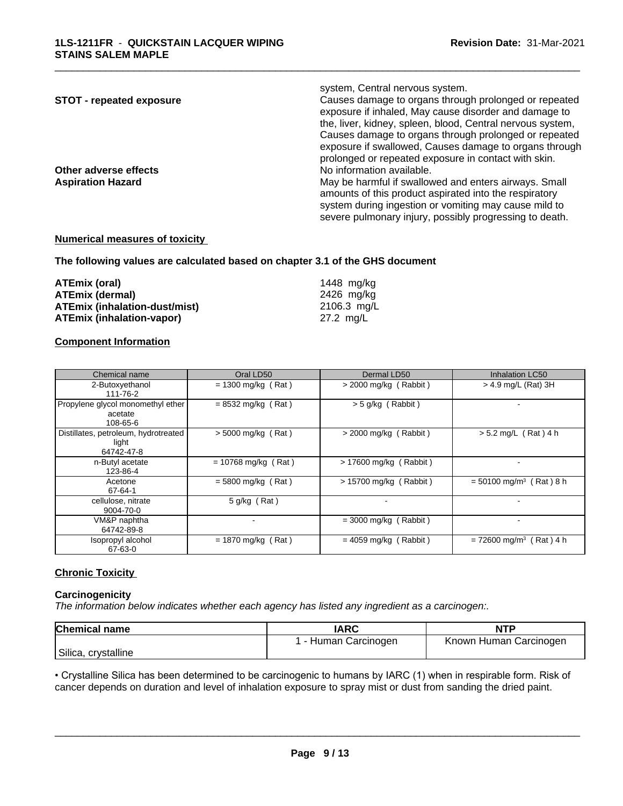|                                 | system, Central nervous system.                                                                                |
|---------------------------------|----------------------------------------------------------------------------------------------------------------|
| <b>STOT - repeated exposure</b> | Causes damage to organs through prolonged or repeated<br>exposure if inhaled, May cause disorder and damage to |
|                                 | the, liver, kidney, spleen, blood, Central nervous system,                                                     |
|                                 | Causes damage to organs through prolonged or repeated                                                          |
|                                 | exposure if swallowed, Causes damage to organs through                                                         |
|                                 | prolonged or repeated exposure in contact with skin.                                                           |
| Other adverse effects           | No information available.                                                                                      |
| <b>Aspiration Hazard</b>        | May be harmful if swallowed and enters airways. Small                                                          |
|                                 | amounts of this product aspirated into the respiratory                                                         |
|                                 | system during ingestion or vomiting may cause mild to                                                          |
|                                 | severe pulmonary injury, possibly progressing to death.                                                        |

\_\_\_\_\_\_\_\_\_\_\_\_\_\_\_\_\_\_\_\_\_\_\_\_\_\_\_\_\_\_\_\_\_\_\_\_\_\_\_\_\_\_\_\_\_\_\_\_\_\_\_\_\_\_\_\_\_\_\_\_\_\_\_\_\_\_\_\_\_\_\_\_\_\_\_\_\_\_\_\_\_\_\_\_\_\_\_\_\_\_\_\_\_

#### **Numerical measures of toxicity**

**The following values are calculated based on chapter 3.1 of the GHS document**

| ATEmix (oral)                        | 1448 ma/ka  |
|--------------------------------------|-------------|
| <b>ATEmix (dermal)</b>               | 2426 ma/ka  |
| <b>ATEmix (inhalation-dust/mist)</b> | 2106.3 mg/L |
| <b>ATEmix (inhalation-vapor)</b>     | 27.2 mg/L   |

#### **Component Information**

| Chemical name                                               | Oral LD50             | Dermal LD50             | Inhalation LC50                       |
|-------------------------------------------------------------|-----------------------|-------------------------|---------------------------------------|
| 2-Butoxyethanol<br>111-76-2                                 | $= 1300$ mg/kg (Rat)  | $>$ 2000 mg/kg (Rabbit) | > 4.9 mg/L (Rat) 3H                   |
| Propylene glycol monomethyl ether<br>acetate<br>108-65-6    | $= 8532$ mg/kg (Rat)  | > 5 g/kg (Rabbit)       |                                       |
| Distillates, petroleum, hydrotreated<br>light<br>64742-47-8 | $> 5000$ mg/kg (Rat)  | $>$ 2000 mg/kg (Rabbit) | $> 5.2$ mg/L (Rat) 4 h                |
| n-Butyl acetate<br>123-86-4                                 | $= 10768$ mg/kg (Rat) | > 17600 mg/kg (Rabbit)  |                                       |
| Acetone<br>67-64-1                                          | $= 5800$ mg/kg (Rat)  | > 15700 mg/kg (Rabbit)  | $= 50100$ mg/m <sup>3</sup> (Rat) 8 h |
| cellulose, nitrate<br>9004-70-0                             | $5$ g/kg (Rat)        |                         |                                       |
| VM&P naphtha<br>64742-89-8                                  |                       | $=$ 3000 mg/kg (Rabbit) |                                       |
| Isopropyl alcohol<br>67-63-0                                | $= 1870$ mg/kg (Rat)  | $= 4059$ mg/kg (Rabbit) | $= 72600$ mg/m <sup>3</sup> (Rat) 4 h |

#### **Chronic Toxicity**

#### **Carcinogenicity**

*The information below indicateswhether each agency has listed any ingredient as a carcinogen:.*

| <b>Chemical name</b> | <b>IARC</b>         | <b>NTF</b>                   |
|----------------------|---------------------|------------------------------|
|                      | Carcinogen<br>Human | Carcinogen<br>Human<br>Known |
| Silica, crystalline  |                     |                              |

• Crystalline Silica has been determined to be carcinogenic to humans by IARC (1) when in respirable form. Risk of cancer depends on duration and level of inhalation exposure to spray mist or dust from sanding the dried paint.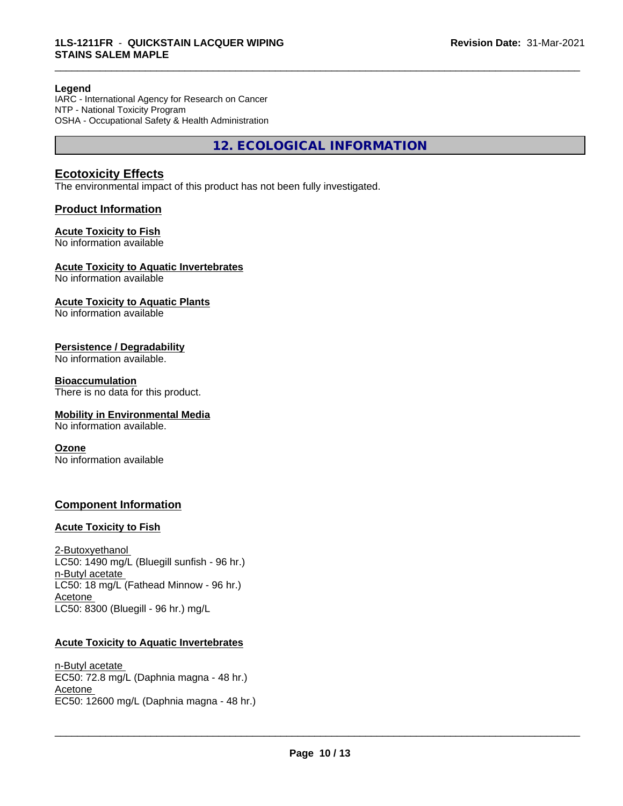#### **Legend**

IARC - International Agency for Research on Cancer NTP - National Toxicity Program OSHA - Occupational Safety & Health Administration

**12. ECOLOGICAL INFORMATION**

\_\_\_\_\_\_\_\_\_\_\_\_\_\_\_\_\_\_\_\_\_\_\_\_\_\_\_\_\_\_\_\_\_\_\_\_\_\_\_\_\_\_\_\_\_\_\_\_\_\_\_\_\_\_\_\_\_\_\_\_\_\_\_\_\_\_\_\_\_\_\_\_\_\_\_\_\_\_\_\_\_\_\_\_\_\_\_\_\_\_\_\_\_

#### **Ecotoxicity Effects**

The environmental impact of this product has not been fully investigated.

#### **Product Information**

#### **Acute Toxicity to Fish**

No information available

#### **Acute Toxicity to Aquatic Invertebrates**

No information available

#### **Acute Toxicity to Aquatic Plants**

No information available

#### **Persistence / Degradability**

No information available.

#### **Bioaccumulation**

There is no data for this product.

#### **Mobility in Environmental Media**

No information available.

#### **Ozone**

No information available

#### **Component Information**

#### **Acute Toxicity to Fish**

2-Butoxyethanol LC50: 1490 mg/L (Bluegill sunfish - 96 hr.) n-Butyl acetate LC50: 18 mg/L (Fathead Minnow - 96 hr.) Acetone LC50: 8300 (Bluegill - 96 hr.) mg/L

#### **Acute Toxicity to Aquatic Invertebrates**

n-Butyl acetate EC50: 72.8 mg/L (Daphnia magna - 48 hr.) Acetone \_\_\_\_\_\_\_\_\_\_\_\_\_\_\_\_\_\_\_\_\_\_\_\_\_\_\_\_\_\_\_\_\_\_\_\_\_\_\_\_\_\_\_\_\_\_\_\_\_\_\_\_\_\_\_\_\_\_\_\_\_\_\_\_\_\_\_\_\_\_\_\_\_\_\_\_\_\_\_\_\_\_\_\_\_\_\_\_\_\_\_\_\_ EC50: 12600 mg/L (Daphnia magna - 48 hr.)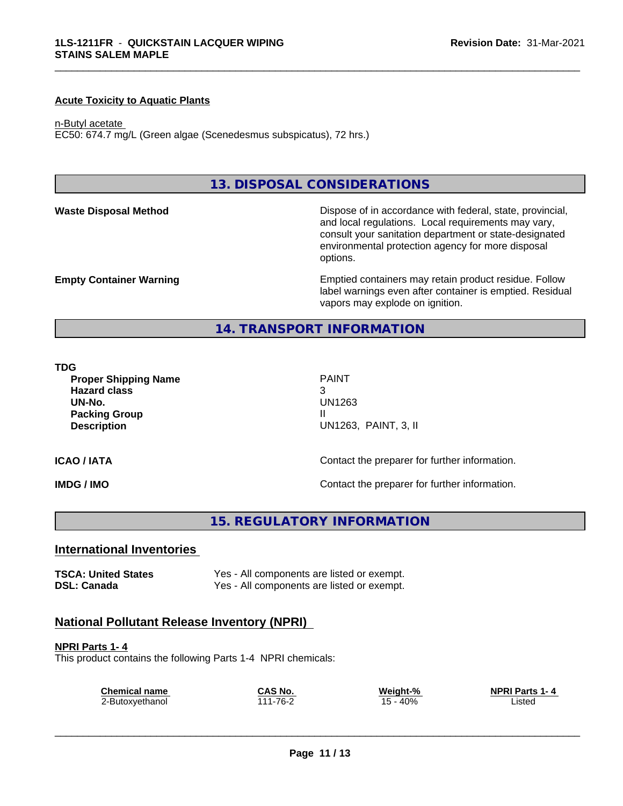#### **Acute Toxicity to Aquatic Plants**

#### n-Butyl acetate

EC50: 674.7 mg/L (Green algae (Scenedesmus subspicatus), 72 hrs.)

#### **13. DISPOSAL CONSIDERATIONS**

**Waste Disposal Method Dispose of in accordance with federal, state, provincial,** and local regulations. Local requirements may vary, consult your sanitation department or state-designated environmental protection agency for more disposal options.

**Empty Container Warning <b>Emptied** Containers may retain product residue. Follow label warnings even after container is emptied. Residual vapors may explode on ignition.

#### **14. TRANSPORT INFORMATION**

#### **TDG**

**Proper Shipping Name PAINT Hazard class** 3 **UN-No.** UN1263 **Packing Group III Description** UN1263, PAINT, 3, II

\_\_\_\_\_\_\_\_\_\_\_\_\_\_\_\_\_\_\_\_\_\_\_\_\_\_\_\_\_\_\_\_\_\_\_\_\_\_\_\_\_\_\_\_\_\_\_\_\_\_\_\_\_\_\_\_\_\_\_\_\_\_\_\_\_\_\_\_\_\_\_\_\_\_\_\_\_\_\_\_\_\_\_\_\_\_\_\_\_\_\_\_\_

#### **ICAO / IATA** Contact the preparer for further information.

**IMDG / IMO IMO Contact the preparer for further information.** 

**15. REGULATORY INFORMATION**

#### **International Inventories**

**TSCA: United States** Yes - All components are listed or exempt. **DSL: Canada** Yes - All components are listed or exempt.

#### **National Pollutant Release Inventory (NPRI)**

**NPRI Parts 1- 4** This product contains the following Parts 1-4 NPRI chemicals:

| <b>Chemical name</b> | CAS No.      | Weight-%   | <b>NPRI Parts 1-4</b> |
|----------------------|--------------|------------|-----------------------|
| 2-Butoxyethanol      | $1 - 76 - 2$ | $15 - 40%$ | _isted                |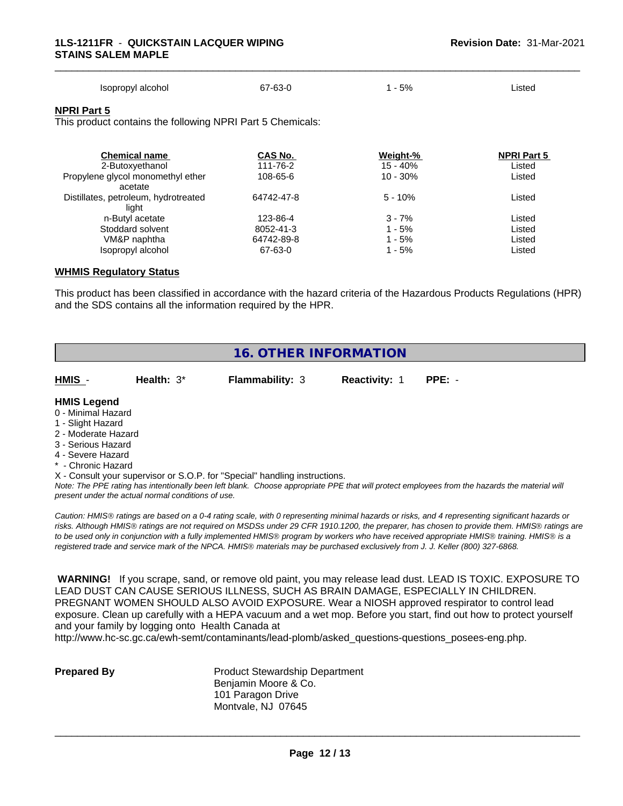| Isopropyl alcohol | 67-63-0 | 5% | ∟isted |  |
|-------------------|---------|----|--------|--|

\_\_\_\_\_\_\_\_\_\_\_\_\_\_\_\_\_\_\_\_\_\_\_\_\_\_\_\_\_\_\_\_\_\_\_\_\_\_\_\_\_\_\_\_\_\_\_\_\_\_\_\_\_\_\_\_\_\_\_\_\_\_\_\_\_\_\_\_\_\_\_\_\_\_\_\_\_\_\_\_\_\_\_\_\_\_\_\_\_\_\_\_\_

#### **NPRI Part 5**

This product contains the following NPRI Part 5 Chemicals:

| <b>Chemical name</b><br>2-Butoxyethanol | CAS No.<br>111-76-2 | Weight-%<br>$15 - 40%$ | <b>NPRI Part 5</b><br>Listed |
|-----------------------------------------|---------------------|------------------------|------------------------------|
| Propylene glycol monomethyl ether       | 108-65-6            | $10 - 30%$             | Listed                       |
| acetate                                 |                     |                        |                              |
| Distillates, petroleum, hydrotreated    | 64742-47-8          | $5 - 10%$              | Listed                       |
| liaht                                   |                     |                        |                              |
| n-Butyl acetate                         | 123-86-4            | $3 - 7%$               | Listed                       |
| Stoddard solvent                        | 8052-41-3           | 1 - 5%                 | Listed                       |
| VM&P naphtha                            | 64742-89-8          | 1 - 5%                 | Listed                       |
| Isopropyl alcohol                       | 67-63-0             | 1 - 5%                 | Listed                       |

#### **WHMIS Regulatory Status**

This product has been classified in accordance with the hazard criteria of the Hazardous Products Regulations (HPR) and the SDS contains all the information required by the HPR.

| <b>16. OTHER INFORMATION</b>                                                                                                                                                                                |               |                                                                            |               |                                                                                                                                               |
|-------------------------------------------------------------------------------------------------------------------------------------------------------------------------------------------------------------|---------------|----------------------------------------------------------------------------|---------------|-----------------------------------------------------------------------------------------------------------------------------------------------|
| HMIS -                                                                                                                                                                                                      | Health: $3^*$ | <b>Flammability: 3</b>                                                     | Reactivity: 1 | $PPE: -$                                                                                                                                      |
| <b>HMIS Legend</b><br>0 - Minimal Hazard<br>1 - Slight Hazard<br>2 - Moderate Hazard<br>3 - Serious Hazard<br>4 - Severe Hazard<br>* - Chronic Hazard<br>present under the actual normal conditions of use. |               | X - Consult your supervisor or S.O.P. for "Special" handling instructions. |               | Note: The PPE rating has intentionally been left blank. Choose appropriate PPE that will protect employees from the hazards the material will |

*Caution: HMISÒ ratings are based on a 0-4 rating scale, with 0 representing minimal hazards or risks, and 4 representing significant hazards or risks. Although HMISÒ ratings are not required on MSDSs under 29 CFR 1910.1200, the preparer, has chosen to provide them. HMISÒ ratings are to be used only in conjunction with a fully implemented HMISÒ program by workers who have received appropriate HMISÒ training. HMISÒ is a registered trade and service mark of the NPCA. HMISÒ materials may be purchased exclusively from J. J. Keller (800) 327-6868.*

 **WARNING!** If you scrape, sand, or remove old paint, you may release lead dust. LEAD IS TOXIC. EXPOSURE TO LEAD DUST CAN CAUSE SERIOUS ILLNESS, SUCH AS BRAIN DAMAGE, ESPECIALLY IN CHILDREN. PREGNANT WOMEN SHOULD ALSO AVOID EXPOSURE.Wear a NIOSH approved respirator to control lead exposure. Clean up carefully with a HEPA vacuum and a wet mop. Before you start, find out how to protect yourself and your family by logging onto Health Canada at

http://www.hc-sc.gc.ca/ewh-semt/contaminants/lead-plomb/asked\_questions-questions\_posees-eng.php.

**Prepared By** Product Stewardship Department Benjamin Moore & Co. 101 Paragon Drive Montvale, NJ 07645